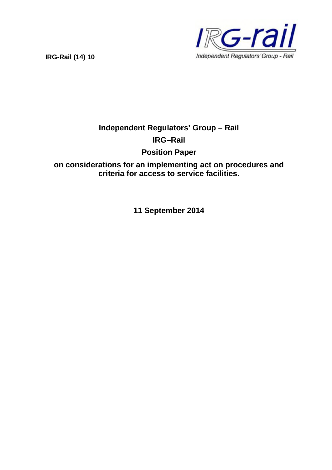**IRG-Rail (14) 10**



# **Independent Regulators' Group – Rail IRG–Rail**

**Position Paper**

**on considerations for an implementing act on procedures and criteria for access to service facilities.**

**11 September 2014**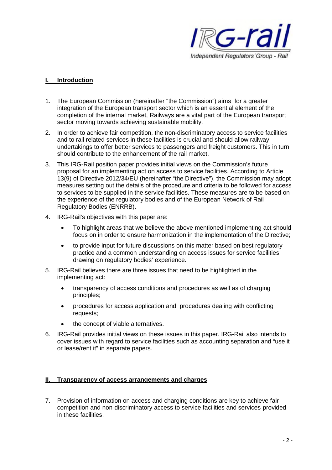

## **I. Introduction**

- 1. The European Commission (hereinafter "the Commission") aims for a greater integration of the European transport sector which is an essential element of the completion of the internal market, Railways are a vital part of the European transport sector moving towards achieving sustainable mobility.
- 2. In order to achieve fair competition, the non-discriminatory access to service facilities and to rail related services in these facilities is crucial and should allow railway undertakings to offer better services to passengers and freight customers. This in turn should contribute to the enhancement of the rail market.
- 3. This IRG-Rail position paper provides initial views on the Commission's future proposal for an implementing act on access to service facilities. According to Article 13(9) of Directive 2012/34/EU (hereinafter "the Directive"), the Commission may adopt measures setting out the details of the procedure and criteria to be followed for access to services to be supplied in the service facilities. These measures are to be based on the experience of the regulatory bodies and of the European Network of Rail Regulatory Bodies (ENRRB).
- 4. IRG-Rail's objectives with this paper are:
	- To highlight areas that we believe the above mentioned implementing act should focus on in order to ensure harmonization in the implementation of the Directive;
	- to provide input for future discussions on this matter based on best regulatory practice and a common understanding on access issues for service facilities, drawing on regulatory bodies' experience.
- 5. IRG-Rail believes there are three issues that need to be highlighted in the implementing act:
	- transparency of access conditions and procedures as well as of charging principles;
	- procedures for access application and procedures dealing with conflicting requests;
	- the concept of viable alternatives.
- 6. IRG-Rail provides initial views on these issues in this paper. IRG-Rail also intends to cover issues with regard to service facilities such as accounting separation and "use it or lease/rent it" in separate papers.

## **II. Transparency of access arrangements and charges**

7. Provision of information on access and charging conditions are key to achieve fair competition and non-discriminatory access to service facilities and services provided in these facilities.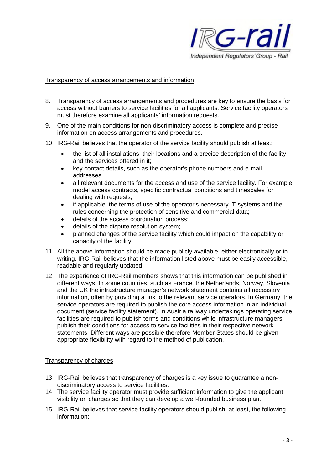

### Transparency of access arrangements and information

- 8. Transparency of access arrangements and procedures are key to ensure the basis for access without barriers to service facilities for all applicants. Service facility operators must therefore examine all applicants' information requests.
- 9. One of the main conditions for non-discriminatory access is complete and precise information on access arrangements and procedures.
- 10. IRG-Rail believes that the operator of the service facility should publish at least:
	- the list of all installations, their locations and a precise description of the facility and the services offered in it;
	- key contact details, such as the operator's phone numbers and e-mailaddresses;
	- all relevant documents for the access and use of the service facility. For example model access contracts, specific contractual conditions and timescales for dealing with requests;
	- if applicable, the terms of use of the operator's necessary IT-systems and the rules concerning the protection of sensitive and commercial data;
	- details of the access coordination process;
	- details of the dispute resolution system;
	- planned changes of the service facility which could impact on the capability or capacity of the facility.
- 11. All the above information should be made publicly available, either electronically or in writing. IRG-Rail believes that the information listed above must be easily accessible, readable and regularly updated.
- 12. The experience of IRG-Rail members shows that this information can be published in different ways. In some countries, such as France, the Netherlands, Norway, Slovenia and the UK the infrastructure manager's network statement contains all necessary information, often by providing a link to the relevant service operators. In Germany, the service operators are required to publish the core access information in an individual document (service facility statement). In Austria railway undertakings operating service facilities are required to publish terms and conditions while infrastructure managers publish their conditions for access to service facilities in their respective network statements. Different ways are possible therefore Member States should be given appropriate flexibility with regard to the method of publication.

#### Transparency of charges

- 13. IRG-Rail believes that transparency of charges is a key issue to guarantee a nondiscriminatory access to service facilities.
- 14. The service facility operator must provide sufficient information to give the applicant visibility on charges so that they can develop a well-founded business plan.
- 15. IRG-Rail believes that service facility operators should publish, at least, the following information: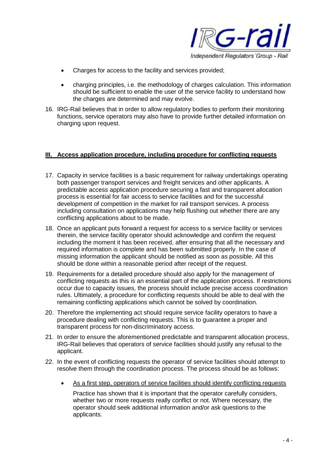

- Charges for access to the facility and services provided;
- charging principles, i.e. the methodology of charges calculation. This information should be sufficient to enable the user of the service facility to understand how the charges are determined and may evolve.
- 16. IRG-Rail believes that in order to allow regulatory bodies to perform their monitoring functions, service operators may also have to provide further detailed information on charging upon request.

## **III. Access application procedure, including procedure for conflicting requests**

- 17. Capacity in service facilities is a basic requirement for railway undertakings operating both passenger transport services and freight services and other applicants. A predictable access application procedure securing a fast and transparent allocation process is essential for fair access to service facilities and for the successful development of competition in the market for rail transport services. A process including consultation on applications may help flushing out whether there are any conflicting applications about to be made.
- 18. Once an applicant puts forward a request for access to a service facility or services therein, the service facility operator should acknowledge and confirm the request including the moment it has been received, after ensuring that all the necessary and required information is complete and has been submitted properly. In the case of missing information the applicant should be notified as soon as possible. All this should be done within a reasonable period after receipt of the request.
- 19. Requirements for a detailed procedure should also apply for the management of conflicting requests as this is an essential part of the application process. If restrictions occur due to capacity issues, the process should include precise access coordination rules. Ultimately, a procedure for conflicting requests should be able to deal with the remaining conflicting applications which cannot be solved by coordination.
- 20. Therefore the implementing act should require service facility operators to have a procedure dealing with conflicting requests. This is to guarantee a proper and transparent process for non-discriminatory access.
- 21. In order to ensure the aforementioned predictable and transparent allocation process, IRG-Rail believes that operators of service facilities should justify any refusal to the applicant.
- 22. In the event of conflicting requests the operator of service facilities should attempt to resolve them through the coordination process. The process should be as follows:
	- As a first step, operators of service facilities should identify conflicting requests

Practice has shown that it is important that the operator carefully considers, whether two or more requests really conflict or not. Where necessary, the operator should seek additional information and/or ask questions to the applicants.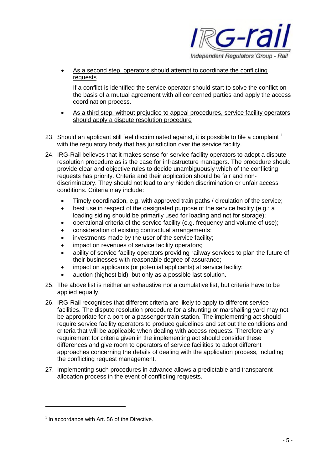

 As a second step, operators should attempt to coordinate the conflicting requests

If a conflict is identified the service operator should start to solve the conflict on the basis of a mutual agreement with all concerned parties and apply the access coordination process.

- As a third step, without prejudice to appeal procedures, service facility operators should apply a dispute resolution procedure
- 23. Should an applicant still feel discriminated against, it is possible to file a complaint  $<sup>1</sup>$ </sup> with the regulatory body that has jurisdiction over the service facility.
- 24. IRG-Rail believes that it makes sense for service facility operators to adopt a dispute resolution procedure as is the case for infrastructure managers. The procedure should provide clear and objective rules to decide unambiguously which of the conflicting requests has priority. Criteria and their application should be fair and nondiscriminatory. They should not lead to any hidden discrimination or unfair access conditions. Criteria may include:
	- Timely coordination, e.g. with approved train paths / circulation of the service;
	- best use in respect of the designated purpose of the service facility (e.g.: a loading siding should be primarily used for loading and not for storage);
	- operational criteria of the service facility (e.g. frequency and volume of use);
	- consideration of existing contractual arrangements;
	- investments made by the user of the service facility;
	- impact on revenues of service facility operators;
	- ability of service facility operators providing railway services to plan the future of their businesses with reasonable degree of assurance;
	- impact on applicants (or potential applicants) at service facility;
	- auction (highest bid), but only as a possible last solution.
- 25. The above list is neither an exhaustive nor a cumulative list, but criteria have to be applied equally.
- 26. IRG-Rail recognises that different criteria are likely to apply to different service facilities. The dispute resolution procedure for a shunting or marshalling yard may not be appropriate for a port or a passenger train station. The implementing act should require service facility operators to produce guidelines and set out the conditions and criteria that will be applicable when dealing with access requests. Therefore any requirement for criteria given in the implementing act should consider these differences and give room to operators of service facilities to adopt different approaches concerning the details of dealing with the application process, including the conflicting request management.
- 27. Implementing such procedures in advance allows a predictable and transparent allocation process in the event of conflicting requests.

 $1$  In accordance with Art. 56 of the Directive.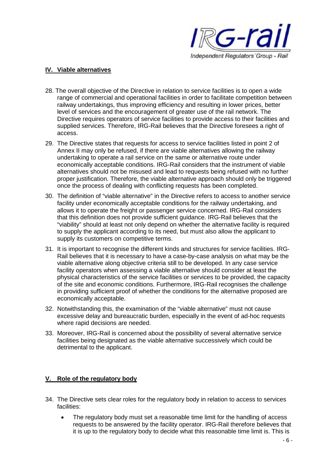

## **IV. Viable alternatives**

- 28. The overall objective of the Directive in relation to service facilities is to open a wide range of commercial and operational facilities in order to facilitate competition between railway undertakings, thus improving efficiency and resulting in lower prices, better level of services and the encouragement of greater use of the rail network. The Directive requires operators of service facilities to provide access to their facilities and supplied services. Therefore, IRG-Rail believes that the Directive foresees a right of access.
- 29. The Directive states that requests for access to service facilities listed in point 2 of Annex II may only be refused, if there are viable alternatives allowing the railway undertaking to operate a rail service on the same or alternative route under economically acceptable conditions. IRG-Rail considers that the instrument of viable alternatives should not be misused and lead to requests being refused with no further proper justification. Therefore, the viable alternative approach should only be triggered once the process of dealing with conflicting requests has been completed.
- 30. The definition of "viable alternative" in the Directive refers to access to another service facility under economically acceptable conditions for the railway undertaking, and allows it to operate the freight or passenger service concerned. IRG-Rail considers that this definition does not provide sufficient guidance. IRG-Rail believes that the "viability" should at least not only depend on whether the alternative facility is required to supply the applicant according to its need, but must also allow the applicant to supply its customers on competitive terms.
- 31. It is important to recognise the different kinds and structures for service facilities. IRG-Rail believes that it is necessary to have a case-by-case analysis on what may be the viable alternative along objective criteria still to be developed. In any case service facility operators when assessing a viable alternative should consider at least the physical characteristics of the service facilities or services to be provided, the capacity of the site and economic conditions. Furthermore, IRG-Rail recognises the challenge in providing sufficient proof of whether the conditions for the alternative proposed are economically acceptable.
- 32. Notwithstanding this, the examination of the "viable alternative" must not cause excessive delay and bureaucratic burden, especially in the event of ad-hoc requests where rapid decisions are needed.
- 33. Moreover, IRG-Rail is concerned about the possibility of several alternative service facilities being designated as the viable alternative successively which could be detrimental to the applicant.

## **V. Role of the regulatory body**

- 34. The Directive sets clear roles for the regulatory body in relation to access to services facilities:
	- The regulatory body must set a reasonable time limit for the handling of access requests to be answered by the facility operator. IRG-Rail therefore believes that it is up to the regulatory body to decide what this reasonable time limit is. This is